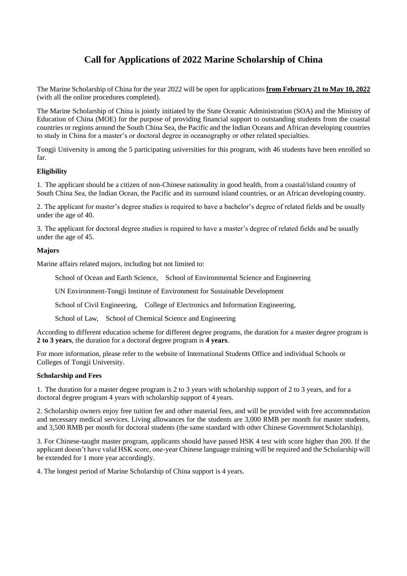# **Call for Applications of 2022 Marine Scholarship of China**

The Marine Scholarship of China for the year 2022 will be open for applications **from February 21 to May 10, 2022** (with all the online procedures completed).

The Marine Scholarship of China is jointly initiated by the State Oceanic Administration (SOA) and the Ministry of Education of China (MOE) for the purpose of providing financial support to outstanding students from the coastal countries or regions around the South China Sea, the Pacific and the Indian Oceans and African developing countries to study in China for a master's or doctoral degree in oceanography or other related specialties.

Tongji University is among the 5 participating universities for this program, with 46 students have been enrolled so far.

# **Eligibility**

1. The applicant should be a citizen of non-Chinese nationality in good health, from a coastal/island country of South China Sea, the Indian Ocean, the Pacific and its surround island countries, or an African developing country.

2. The applicant for master's degree studies is required to have a bachelor's degree of related fields and be usually under the age of 40.

3. The applicant for doctoral degree studies is required to have a master's degree of related fields and be usually under the age of 45.

# **Majors**

Marine affairs related majors, including but not limited to:

School of Ocean and Earth Science, School of Environmental Science and Engineering

UN Environment-Tongji Institute of Environment for Sustainable Development

School of Civil Engineering, College of Electronics and Information Engineering,

School of Law, School of Chemical Science and Engineering

According to different education scheme for different degree programs, the duration for a master degree program is **2 to 3 years**, the duration for a doctoral degree program is **4 years**.

For more information, please refer to the website of International Students Office and individual Schools or Colleges of Tongji University.

### **Scholarship and Fees**

1. The duration for a master degree program is 2 to 3 years with scholarship support of 2 to 3 years, and for a doctoral degree program 4 years with scholarship support of 4 years.

2. Scholarship owners enjoy free tuition fee and other material fees, and will be provided with free accommodation and necessary medical services. Living allowances for the students are 3,000 RMB per month for master students, and 3,500 RMB per month for doctoral students (the same standard with other Chinese Government Scholarship).

3. For Chinese-taught master program, applicants should have passed HSK 4 test with score higher than 200. If the applicant doesn't have valid HSK score, one-year Chinese language training will be required and the Scholarship will be extended for 1 more year accordingly.

4. The longest period of Marine Scholarship of China support is 4 years.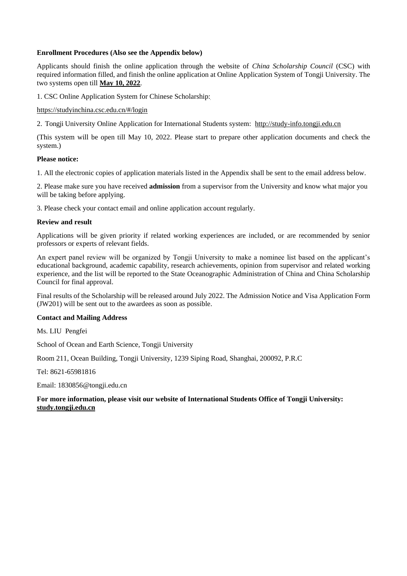### **Enrollment Procedures (Also see the Appendix below)**

Applicants should finish the online application through the website of *China Scholarship Council* (CSC) with required information filled, and finish the online application at Online Application System of Tongji University. The two systems open till **May 10, 2022**.

1. CSC Online Application System for Chinese Scholarship:

### https://studyinchina.csc.edu.cn/#/login

2. Tongji University Online Application for International Students system: [http://study-info.tongji.edu.cn](http://study-info.tongji.edu.cn/)

(This system will be open till May 10, 2022. Please start to prepare other application documents and check the system.)

### **Please notice:**

1. All the electronic copies of application materials listed in the Appendix shall be sent to the email address below.

2. Please make sure you have received **admission** from a supervisor from the University and know what major you will be taking before applying.

3. Please check your contact email and online application account regularly.

### **Review and result**

Applications will be given priority if related working experiences are included, or are recommended by senior professors or experts of relevant fields.

An expert panel review will be organized by Tongji University to make a nominee list based on the applicant's educational background, academic capability, research achievements, opinion from supervisor and related working experience, and the list will be reported to the State Oceanographic Administration of China and China Scholarship Council for final approval.

Final results of the Scholarship will be released around July 2022. The Admission Notice and Visa Application Form (JW201) will be sent out to the awardees as soon as possible.

### **Contact and Mailing Address**

Ms. LIU Pengfei

School of Ocean and Earth Science, Tongji University

Room 211, Ocean Building, Tongji University, 1239 Siping Road, Shanghai, 200092, P.R.C

Tel: 8621-65981816

Email: 1830856@tongji.edu.cn

# **For more information, please visit our website of International Students Office of Tongji University: study.tongji.edu.cn**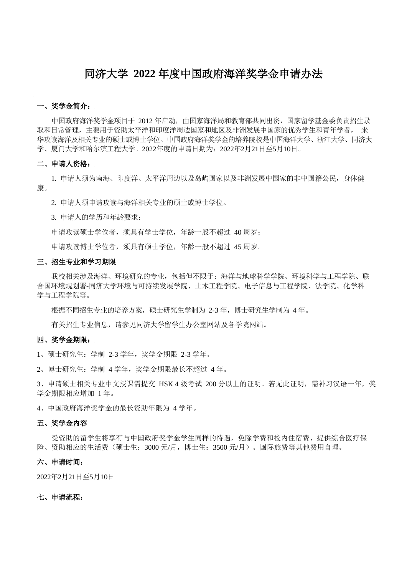# 同济大学 **2022** 年度中国政府海洋奖学金申请办法

### 一、奖学金简介:

中国政府海洋奖学金项目于 2012 年启动,由国家海洋局和教育部共同出资,国家留学基金委负责招生录 取和日常管理,主要用于资助太平洋和印度洋周边国家和地区及非洲发展中国家的优秀学生和青年学者, 来 华攻读海洋及相关专业的硕士或博士学位。中国政府海洋奖学金的培养院校是中国海洋大学、浙江大学、同济大 学、厦门大学和哈尔滨工程大学。2022年度的申请日期为:2022年2月21日至5月10日。

### 二、申请人资格:

1. 申请人须为南海、印度洋、太平洋周边以及岛屿国家以及非洲发展中国家的非中国籍公民,身体健 康。

2. 申请人须申请攻读与海洋相关专业的硕士或博士学位。

3. 申请人的学历和年龄要求:

申请攻读硕士学位者,须具有学士学位,年龄一般不超过 40 周岁;

申请攻读博士学位者,须具有硕士学位,年龄一般不超过 45 周岁。

### 三、招生专业和学习期限

我校相关涉及海洋、环境研究的专业,包括但不限于:海洋与地球科学学院、环境科学与工程学院、联 合国环境规划署-同济大学环境与可持续发展学院、土木工程学院、电子信息与工程学院、法学院、化学科 学与工程学院等。

根据不同招生专业的培养方案,硕士研究生学制为 2-3 年,博士研究生学制为 4 年。

有关招生专业信息,请参见同济大学留学生办公室网站及各学院网站。

### 四、奖学金期限:

1、硕士研究生:学制 2-3 学年,奖学金期限 2-3 学年。

2、博士研究生:学制 4 学年,奖学金期限最长不超过 4 年。

3、申请硕士相关专业中文授课需提交 HSK 4 级考试 200 分以上的证明。若无此证明,需补习汉语一年,奖 学金期限相应增加 1 年。

4、中国政府海洋奖学金的最长资助年限为 4 学年。

### 五、奖学金内容

受资助的留学生将享有与中国政府奖学金学生同样的待遇,免除学费和校内住宿费、提供综合医疗保 险、资助相应的生活费(硕士生:3000 元/月,博士生:3500 元/月)。国际旅费等其他费用自理。

# 六、申请时间:

2022年2月21日至5月10日

### 七、申请流程: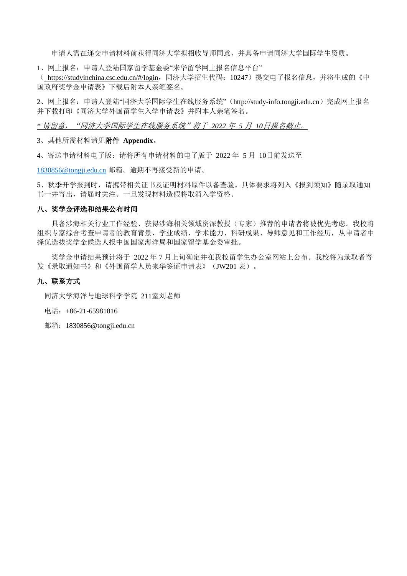申请人需在递交申请材料前获得同济大学拟招收导师同意,并具备申请同济大学国际学生资质。

1、网上报名: 申请人登陆国家留学基金委"来华留学网上报名信息平台"

( https://studyinchina.csc.edu.cn/#/login,同济大学招生代码:10247)提交电子报名信息,并将生成的《中 国政府奖学金申请表》下载后附本人亲笔签名。

2、网上报名:申请人登陆"同济大学国际学生在线服务系统"([http://study-info.tongji.edu.cn](http://study-info.tongji.edu.cn/))完成网上报名 并下载打印《同济大学外国留学生入学申请表》并附本人亲笔签名。

*\** 请留意,"同济大学国际学生在线服务系统"将于 *2022* 年 *5* 月 *10*日报名截止。

3、其他所需材料请见附件 **Appendix**。

4、寄送申请材料电子版:请将所有申请材料的电子版于 2022 年 5 月 10日前发送至

[1830856@tongji.edu.cn](mailto:1830856@tongji.edu.cn) 邮箱。逾期不再接受新的申请。

5、秋季开学报到时,请携带相关证书及证明材料原件以备查验。具体要求将列入《报到须知》随录取通知 书一并寄出,请届时关注。一旦发现材料造假将取消入学资格。

# 八、奖学金评选和结果公布时间

具备涉海相关行业工作经验、获得涉海相关领域资深教授(专家)推荐的申请者将被优先考虑。我校将 组织专家综合考查申请者的教育背景、学业成绩、学术能力、科研成果、导师意见和工作经历,从申请者中 择优选拔奖学金候选人报中国国家海洋局和国家留学基金委审批。

奖学金申请结果预计将于 2022 年 7 月上旬确定并在我校留学生办公室网站上公布。我校将为录取者寄 发《录取通知书》和《外国留学人员来华签证申请表》(JW201 表)。

# 九、联系方式

同济大学海洋与地球科学学院 211室刘老师

电话:+86-21-65981816

邮箱:1830856@tongji.edu.cn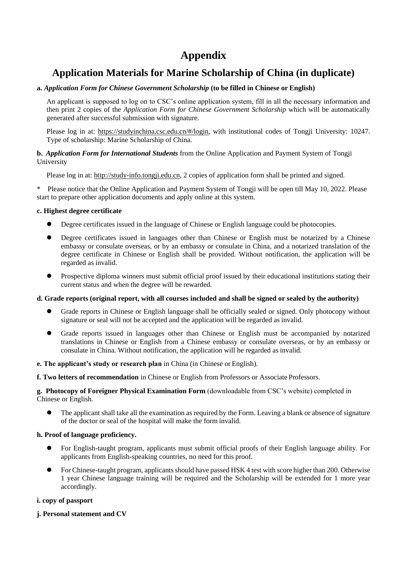# **Appendix**

# **Application Materials for Marine Scholarship of China (in duplicate)**

# **a.** *Application Form for Chinese Government Scholarship* **(to be filled in Chinese or English)**

An applicant is supposed to log on to CSC's online application system, fill in all the necessary information and then print 2 copies of the *Application Form for Chinese Government Scholarship* which will be automatically generated after successful submission with signature.

Please log in at: https://studyinchina.csc.edu.cn/#/login, with institutional codes of Tongji University: 10247. Type of scholarship: Marine Scholarship of China.

# **b.** *Application Form for International Students* from the Online Application and Payment System of Tongji University

Please log in at: [http://study-info.tongji.edu.cn, 2](http://study-info.tongji.edu.cn/) copies of application form shall be printed and signed.

\* Please notice that the Online Application and Payment System of Tongji will be open till May 10, 2022. Please start to prepare other application documents and apply online at this system.

# **c. Highest degree certificate**

- ⚫ Degree certificates issued in the language of Chinese or English language could be photocopies.
- ⚫ Degree certificates issued in languages other than Chinese or English must be notarized by a Chinese embassy or consulate overseas, or by an embassy or consulate in China, and a notarized translation of the degree certificate in Chinese or English shall be provided. Without notification, the application will be regarded as invalid.
- ⚫ Prospective diploma winners must submit official proof issued by their educational institutions stating their current status and when the degree will be rewarded.

# **d. Grade reports (original report, with all courses included and shall be signed or sealed by the authority)**

- ⚫ Grade reports in Chinese or English language shall be officially sealed or signed. Only photocopy without signature or seal will not be accepted and the application will be regarded as invalid.
- ⚫ Grade reports issued in languages other than Chinese or English must be accompanied by notarized translations in Chinese or English from a Chinese embassy or consulate overseas, or by an embassy or consulate in China. Without notification, the application will be regarded as invalid.

# **e. The applicant's study or research plan** in China (in Chinese or English).

**f. Two letters of recommendation** in Chinese or English from Professors or Associate Professors.

# **g. Photocopy of Foreigner Physical Examination Form** (downloadable from CSC's website) completed in Chinese or English.

⚫ The applicant shall take all the examination as required by the Form. Leaving a blank or absence of signature of the doctor or seal of the hospital will make the form invalid.

# **h. Proof of language proficiency.**

- ⚫ For English-taught program, applicants must submit official proofs of their English language ability. For applicants from English-speaking countries, no need for this proof.
- ⚫ For Chinese-taught program, applicants should have passed HSK 4 test with score higher than 200. Otherwise 1 year Chinese language training will be required and the Scholarship will be extended for 1 more year accordingly.

# **i. copy of passport**

# **j. Personal statement and CV**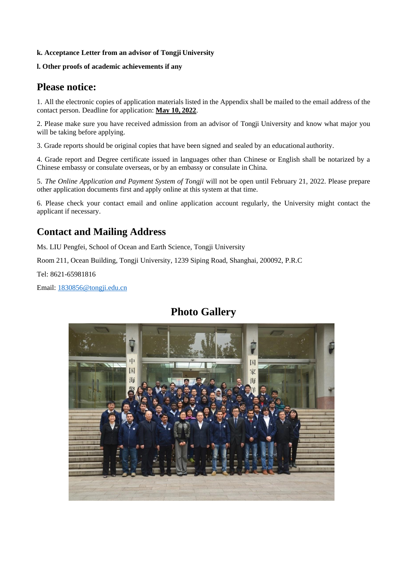# **k. Acceptance Letter from an advisor of Tongji University**

# **l. Other proofs of academic achievements if any**

# **Please notice:**

1. All the electronic copies of application materials listed in the Appendix shall be mailed to the email address of the contact person. Deadline for application: **May 10, 2022**.

2. Please make sure you have received admission from an advisor of Tongji University and know what major you will be taking before applying.

3. Grade reports should be original copies that have been signed and sealed by an educational authority.

4. Grade report and Degree certificate issued in languages other than Chinese or English shall be notarized by a Chinese embassy or consulate overseas, or by an embassy or consulate in China.

5. *The Online Application and Payment System of Tongji* will not be open until February 21, 2022. Please prepare other application documents first and apply online at this system at that time.

6. Please check your contact email and online application account regularly, the University might contact the applicant if necessary.

# **Contact and Mailing Address**

Ms. LIU Pengfei, School of Ocean and Earth Science, Tongji University

Room 211, Ocean Building, Tongji University, 1239 Siping Road, Shanghai, 200092, P.R.C

Tel: 8621-65981816

Email[: 1830856@tongji.edu.cn](mailto:1830856@tongji.edu.cn)

# **Photo Gallery**

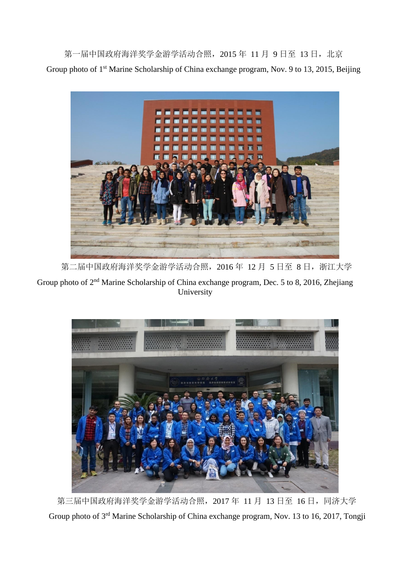第一届中国政府海洋奖学金游学活动合照, 2015 年 11 月 9 日至 13 日, 北京 Group photo of 1<sup>st</sup> Marine Scholarship of China exchange program, Nov. 9 to 13, 2015, Beijing



第二届中国政府海洋奖学金游学活动合照, 2016年 12月 5日至 8日, 浙江大学

Group photo of 2<sup>nd</sup> Marine Scholarship of China exchange program, Dec. 5 to 8, 2016, Zhejiang University



第三届中国政府海洋奖学金游学活动合照, 2017 年 11 月 13 日至 16 日, 同济大学 Group photo of 3<sup>rd</sup> Marine Scholarship of China exchange program, Nov. 13 to 16, 2017, Tongji